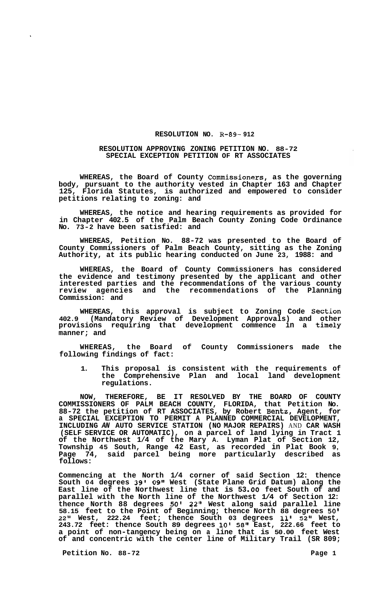## **RESOLUTION NO. R-89- 912**

## **RESOLUTION APPROVING ZONING PETITION NO. 88-72 SPECIAL EXCEPTION PETITION OF RT ASSOCIATES**

**WHEREAS, the Board of County Commissioners, as the governing body, pursuant to the authority vested in Chapter 163 and Chapter 125, Florida Statutes, is authorized and empowered to consider petitions relating to zoning: and** 

**WHEREAS, the notice and hearing requirements as provided for in Chapter 402.5 of the Palm Beach County Zoning Code Ordinance No. 73-2 have been satisfied: and** 

**WHEREAS, Petition No. 88-72 was presented to the Board of County Commissioners of Palm Beach County, sitting as the Zoning Authority, at its public hearing conducted on June 23, 1988: and** 

**WHEREAS, the Board of County Commissioners has considered the evidence and testimony presented by the applicant and other interested parties and the recommendations of the various county review agencies and the recommendations of the Planning Commission: and** 

**WHEREAS, this approval is subject to Zoning Code Section 402.9 (Mandatory Review of Development Approvals) and other provisions requiring that development commence in a timely manner; and** 

**WHEREAS, the Board of County Commissioners made the following findings of fact:** 

**1. This proposal is consistent with the requirements of the Comprehensive Plan and local land development regulations.** 

**NOW, THEREFORE, BE IT RESOLVED BY THE BOARD OF COUNTY COMMISSIONERS OF PALM BEACH COUNTY, FLORIDA, that Petition No. 88-72 the petition of RT ASSOCIATES, by Robert Bentz, Agent, for a SPECIAL EXCEPTION TO PERMIT A PLANNED COMMERCIAL DEVELOPMENT, INCLUDING** *AN* **AUTO SERVICE STATION (NO MAJOR REPAIRS)** AND **CAR WASH (SELF SERVICE OR AUTOMATIC), on a parcel of land lying in Tract 1 of the Northwest 1/4 of the Mary A. Lyman Plat of Section 12, Township 45 South, Range 42 East, as recorded in Plat Book 9, Page 74, said parcel being more particularly described as follows:** 

**Commencing at the North 1/4 corner of said Section 12: thence South 04 degrees 39' 0911 West (State Plane Grid Datum) along the East line of the Northwest line that is 53 .OO feet South of and parallel with the North line of the Northwest 1/4 of Section 12: thence North 88 degrees** *50'* **22" West along said parallel line 58.15 feet to the Point of Beginning; thence North 88 degrees** *50'*  **22" West, 222.24 feet; thence South 03 degrees 11' 52" West, 243.72 feet: thence South 89 degrees 10' 58" East, 222.66 feet to a point of non-tangency being on a line that is 50.00 feet West of and concentric with the center line of Military Trail (SR 809;** 

**Petition No. 88-72** Page 1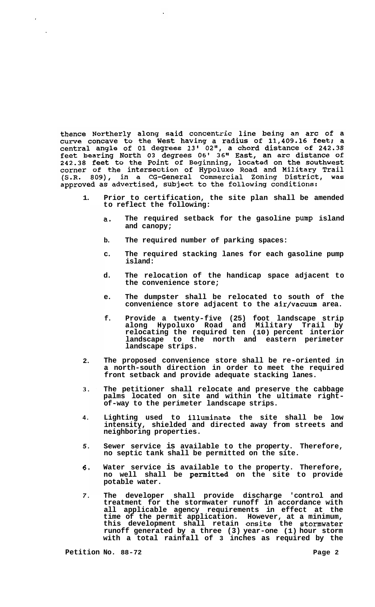thence Northerly along said concentric line being an arc of a<br>curve concave to the West having a radius of 11,409.16 feet; a<br>central angle of 01 degrees  $13'$  02", a chord distance of 242.38<br>feet bearing North 03 degrees 242.38 feet to the Point of Beginning, located on the southwest<br>corner of the intersection of Hypoluxo Road and Military Trail<br>(S.R. 809), in a CG-General Commercial Zoning District, was approved as advertised, subject to the following conditions:

- **1. Prior to certification, the site plan shall be amended to reflect the following:** 
	- **a. The required setback for the gasoline pump island and canopy;**
	- **b. The required number of parking spaces:**
	- **c. The required stacking lanes for each gasoline pump island:**
	- **d. The relocation of the handicap space adjacent to the convenience store;**
	- **e. The dumpster shall be relocated to south of the convenience store adjacent to the air/vacuum area.**
	- **f. Provide a twenty-five (25) foot landscape strip along Hypoluxo Road and Military Trail by relocating the required ten (10) percent interior landscape to the north and eastern perimeter landscape strips.**
- **2. The proposed convenience store shall be re-oriented in a north-south direction in order to meet the required front setback and provide adequate stacking lanes.**
- **3. The petitioner shall relocate and preserve the cabbage palms located on site and within the ultimate right- of-way to the perimeter landscape strips.**
- **4. Lighting used to illuminate the site shall be low intensity, shielded and directed away from streets and neighboring properties.**
- *5.*  **Sewer service is available to the property. Therefore, no septic tank shall be permitted on the site.**
- **6. Water service is available to the property. Therefore, no well shall be permitted on the site to provide potable water.**
- *7.*  **The developer shall provide discharge 'control and treatment for the stormwater runoff in accordance with all applicable agency requirements in effect at the time of the permit application. However, at a minimum, this development shall retain onsite the stormwater runoff generated by a three (3) year-one (1) hour storm with a total rainfall of 3 inches as required by the**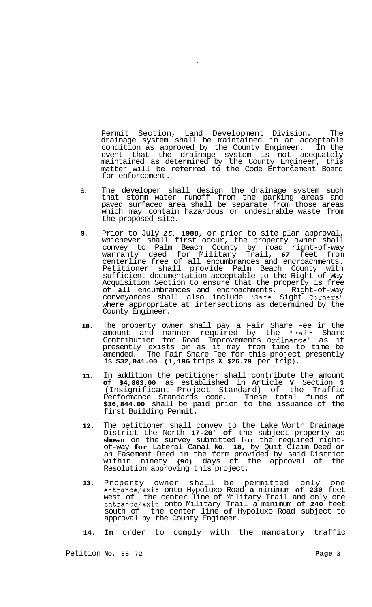Permit Section, Land Development Division. The drainage system shall be maintained in an acceptable condition as approved by the County Engineer. In the event that the drainage system is not adequately maintained as determined by the County Engineer, this matter will be referred to the Code Enforcement Board for enforcement.

- a. The developer shall design the drainage system such that storm water runoff from the parking areas and paved surfaced area shall be separate from those areas which may contain hazardous or undesirable waste from the proposed site.
- **9.**  Prior to July *25,* **1988,** or prior to site plan approval, whichever shall first occur, the property owner shall convey to Palm Beach County by road right-of-way warranty deed for Military Trail, *67* feet from centerline free of all encumbrances and encroachments. Petitioner shall provide Palm Beach County with sufficient documentation acceptable to the Right of Way Acquisition Section to ensure that the property is free of **all** encumbrances and encroachments. Right-of-way conveyances shall also include "Safe Sight Corners" where appropriate at intersections as determined by the County Engineer.
- **10.**  The property owner shall pay a Fair Share Fee in the amount and manner required by the "Fair Share Contribution for Road Improvements Ordinance" as it presently exists or as it may from time to time be amended. The Fair Share Fee for this project presently is **\$32,041.00 (1,196** trips **X \$26.79** per trip).
- **11.**  In addition the petitioner shall contribute the amount **of \$4,803.00** as established in Article **V** Section **3**  (Insignificant Project Standard) of the Traffic Performance Standards code. These total funds of **\$36,844.00** shall be paid prior to the issuance of the first Building Permit.
- **12.**  The petitioner shall convey to the Lake Worth Drainage District the North **17-20' of** the subject property as **shown** on the survey submitted for the required rightof-way **for** Lateral Canal **No. 18,** by Quit Claim Deed or an Easement Deed in the form provided by said District within ninety **(90)** days of the approval of the Resolution approving this project.
- **13.**  Property owner shall be permitted only one entrance/exit onto Hypoluxo Road **a** minimum **of 230** feet west of the center line of Military Trail and only one entrance/exit onto Military Trail a minimum of **240** feet south of the center line **of** Hypoluxo Road subject to approval by the County Engineer.

**14. In** order to comply with the mandatory traffic

Petition **No.** 88-72 **Page 3**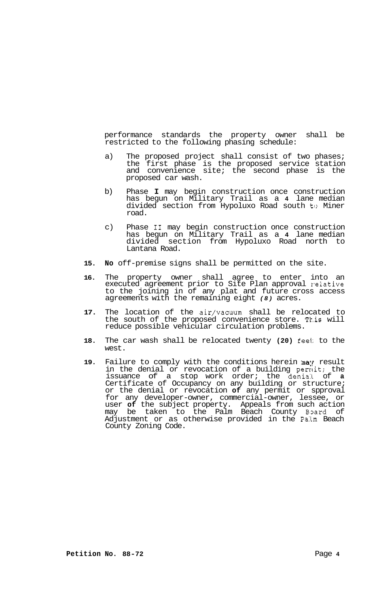performance standards the property owner shall be restricted to the following phasing schedule:

- a) The proposed project shall consist of two phases; the first phase is the proposed service station and convenience site; the second phase is the proposed car wash.
- b) Phase **I** may begin construction once construction has begun on Military Trail as a **4** lane median divided section from Hypoluxo Road south to Miner road.
- c) Phase **I1** may begin construction once construction has begun on Military Trail as a **4** lane median divided section from Hypoluxo Road north to Lantana Road.
- **15. No** off-premise signs shall be permitted on the site.
- **16.** The property owner shall agree to enter into an executed agreement prior to Site Plan approval relative to the joining in of any plat and future cross access agreements with the remaining eight *(8)* acres.
- **17.** The location of the air/vacuum shall be relocated to the south of the proposed convenience store. This will reduce possible vehicular circulation problems.
- **18.** The car wash shall be relocated twenty **(20)** feel: to the west.
- 19. Failure to comply with the conditions herein may result in the denial or revocation of a building pernit; the issuance of a stop work order; the denial of **a**  Certificate of Occupancy on any building or structure; or the denial or revocation **of** any permit or spproval for any developer-owner, commercial-owner, lessee, or user **of** the subject property. Appeals from such action may be taken to the Palm Beach County Board of Adjustment or as otherwise provided in the Palm Beach County Zoning Code.